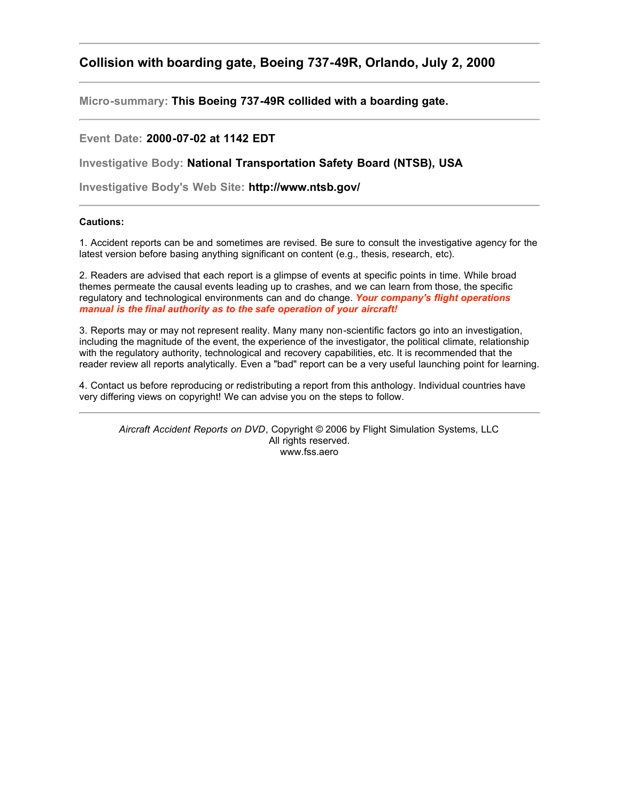## **Collision with boarding gate, Boeing 737-49R, Orlando, July 2, 2000**

**Micro-summary: This Boeing 737-49R collided with a boarding gate.**

## **Event Date: 2000-07-02 at 1142 EDT**

**Investigative Body: National Transportation Safety Board (NTSB), USA**

**Investigative Body's Web Site: http://www.ntsb.gov/**

## **Cautions:**

1. Accident reports can be and sometimes are revised. Be sure to consult the investigative agency for the latest version before basing anything significant on content (e.g., thesis, research, etc).

2. Readers are advised that each report is a glimpse of events at specific points in time. While broad themes permeate the causal events leading up to crashes, and we can learn from those, the specific regulatory and technological environments can and do change. *Your company's flight operations manual is the final authority as to the safe operation of your aircraft!*

3. Reports may or may not represent reality. Many many non-scientific factors go into an investigation, including the magnitude of the event, the experience of the investigator, the political climate, relationship with the regulatory authority, technological and recovery capabilities, etc. It is recommended that the reader review all reports analytically. Even a "bad" report can be a very useful launching point for learning.

4. Contact us before reproducing or redistributing a report from this anthology. Individual countries have very differing views on copyright! We can advise you on the steps to follow.

*Aircraft Accident Reports on DVD*, Copyright © 2006 by Flight Simulation Systems, LLC All rights reserved. www.fss.aero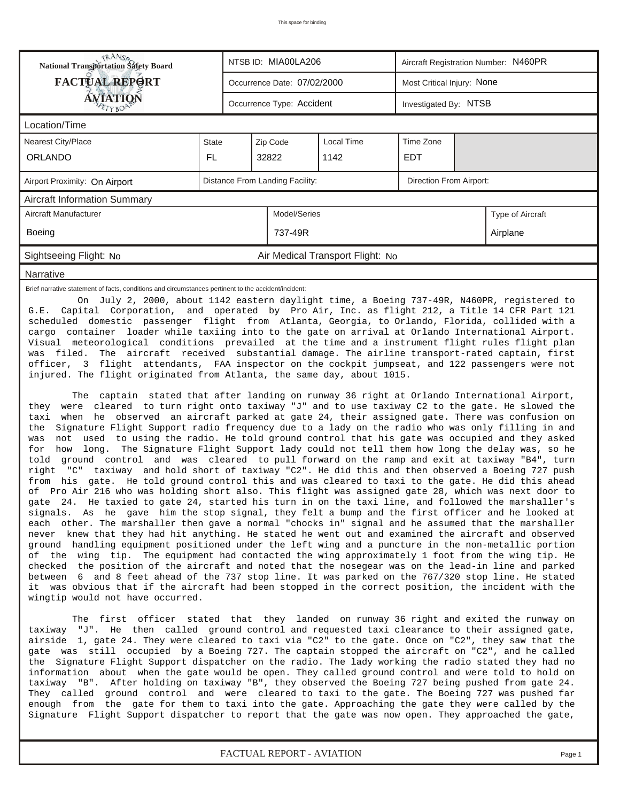| <b>National Transportation Safety Board</b>                                                                                                                                                                                                                                                                                                                                                                                                                                                                                                                                                                                                                                                                                                                                                                                                                                                                                                                                                                                                                                                                                                                                                                                                                                                                                                                                                                                                                                                                                                                                                                                                                                                                                                                                                                                                                                                                     | NTSB ID: MIA00LA206 |                                 |                                  | Aircraft Registration Number: N460PR |                            |  |  |  |  |  |
|-----------------------------------------------------------------------------------------------------------------------------------------------------------------------------------------------------------------------------------------------------------------------------------------------------------------------------------------------------------------------------------------------------------------------------------------------------------------------------------------------------------------------------------------------------------------------------------------------------------------------------------------------------------------------------------------------------------------------------------------------------------------------------------------------------------------------------------------------------------------------------------------------------------------------------------------------------------------------------------------------------------------------------------------------------------------------------------------------------------------------------------------------------------------------------------------------------------------------------------------------------------------------------------------------------------------------------------------------------------------------------------------------------------------------------------------------------------------------------------------------------------------------------------------------------------------------------------------------------------------------------------------------------------------------------------------------------------------------------------------------------------------------------------------------------------------------------------------------------------------------------------------------------------------|---------------------|---------------------------------|----------------------------------|--------------------------------------|----------------------------|--|--|--|--|--|
| <b>FACTUAL REPORT</b>                                                                                                                                                                                                                                                                                                                                                                                                                                                                                                                                                                                                                                                                                                                                                                                                                                                                                                                                                                                                                                                                                                                                                                                                                                                                                                                                                                                                                                                                                                                                                                                                                                                                                                                                                                                                                                                                                           |                     | Occurrence Date: 07/02/2000     |                                  |                                      | Most Critical Injury: None |  |  |  |  |  |
| AVIATION                                                                                                                                                                                                                                                                                                                                                                                                                                                                                                                                                                                                                                                                                                                                                                                                                                                                                                                                                                                                                                                                                                                                                                                                                                                                                                                                                                                                                                                                                                                                                                                                                                                                                                                                                                                                                                                                                                        |                     | Occurrence Type: Accident       |                                  | Investigated By: NTSB                |                            |  |  |  |  |  |
| Location/Time                                                                                                                                                                                                                                                                                                                                                                                                                                                                                                                                                                                                                                                                                                                                                                                                                                                                                                                                                                                                                                                                                                                                                                                                                                                                                                                                                                                                                                                                                                                                                                                                                                                                                                                                                                                                                                                                                                   |                     |                                 |                                  |                                      |                            |  |  |  |  |  |
| <b>Nearest City/Place</b>                                                                                                                                                                                                                                                                                                                                                                                                                                                                                                                                                                                                                                                                                                                                                                                                                                                                                                                                                                                                                                                                                                                                                                                                                                                                                                                                                                                                                                                                                                                                                                                                                                                                                                                                                                                                                                                                                       | State               | Zip Code                        | Time Zone                        |                                      |                            |  |  |  |  |  |
| <b>ORLANDO</b>                                                                                                                                                                                                                                                                                                                                                                                                                                                                                                                                                                                                                                                                                                                                                                                                                                                                                                                                                                                                                                                                                                                                                                                                                                                                                                                                                                                                                                                                                                                                                                                                                                                                                                                                                                                                                                                                                                  | FL.                 | 32822                           | 1142                             | <b>EDT</b>                           |                            |  |  |  |  |  |
| Airport Proximity: On Airport                                                                                                                                                                                                                                                                                                                                                                                                                                                                                                                                                                                                                                                                                                                                                                                                                                                                                                                                                                                                                                                                                                                                                                                                                                                                                                                                                                                                                                                                                                                                                                                                                                                                                                                                                                                                                                                                                   |                     | Distance From Landing Facility: |                                  |                                      | Direction From Airport:    |  |  |  |  |  |
| <b>Aircraft Information Summary</b>                                                                                                                                                                                                                                                                                                                                                                                                                                                                                                                                                                                                                                                                                                                                                                                                                                                                                                                                                                                                                                                                                                                                                                                                                                                                                                                                                                                                                                                                                                                                                                                                                                                                                                                                                                                                                                                                             |                     |                                 |                                  |                                      |                            |  |  |  |  |  |
| Aircraft Manufacturer                                                                                                                                                                                                                                                                                                                                                                                                                                                                                                                                                                                                                                                                                                                                                                                                                                                                                                                                                                                                                                                                                                                                                                                                                                                                                                                                                                                                                                                                                                                                                                                                                                                                                                                                                                                                                                                                                           |                     | Model/Series                    |                                  |                                      | Type of Aircraft           |  |  |  |  |  |
| Boeing                                                                                                                                                                                                                                                                                                                                                                                                                                                                                                                                                                                                                                                                                                                                                                                                                                                                                                                                                                                                                                                                                                                                                                                                                                                                                                                                                                                                                                                                                                                                                                                                                                                                                                                                                                                                                                                                                                          |                     | 737-49R                         |                                  |                                      | Airplane                   |  |  |  |  |  |
| Sightseeing Flight: No                                                                                                                                                                                                                                                                                                                                                                                                                                                                                                                                                                                                                                                                                                                                                                                                                                                                                                                                                                                                                                                                                                                                                                                                                                                                                                                                                                                                                                                                                                                                                                                                                                                                                                                                                                                                                                                                                          |                     |                                 | Air Medical Transport Flight: No |                                      |                            |  |  |  |  |  |
| Narrative                                                                                                                                                                                                                                                                                                                                                                                                                                                                                                                                                                                                                                                                                                                                                                                                                                                                                                                                                                                                                                                                                                                                                                                                                                                                                                                                                                                                                                                                                                                                                                                                                                                                                                                                                                                                                                                                                                       |                     |                                 |                                  |                                      |                            |  |  |  |  |  |
| scheduled domestic passenger flight from Atlanta, Georgia, to Orlando, Florida, collided with a<br>cargo container loader while taxiing into to the gate on arrival at Orlando International Airport.<br>Visual meteorological conditions prevailed at the time and a instrument flight rules flight plan<br>The aircraft received substantial damage. The airline transport-rated captain, first<br>was filed.<br>officer, 3 flight attendants, FAA inspector on the cockpit jumpseat, and 122 passengers were not<br>injured. The flight originated from Atlanta, the same day, about 1015.                                                                                                                                                                                                                                                                                                                                                                                                                                                                                                                                                                                                                                                                                                                                                                                                                                                                                                                                                                                                                                                                                                                                                                                                                                                                                                                   |                     |                                 |                                  |                                      |                            |  |  |  |  |  |
| The captain stated that after landing on runway 36 right at Orlando International Airport,<br>were cleared to turn right onto taxiway "J" and to use taxiway C2 to the gate. He slowed the<br>they<br>when he observed an aircraft parked at gate 24, their assigned gate. There was confusion on<br>taxi<br>Signature Flight Support radio frequency due to a lady on the radio who was only filling in and<br>the<br>not<br>used to using the radio. He told ground control that his gate was occupied and they asked<br>was<br>long. The Signature Flight Support lady could not tell them how long the delay was, so he<br>how<br>for<br>told ground control and was cleared to pull forward on the ramp and exit at taxiway "B4", turn<br>right "C" taxiway and hold short of taxiway "C2". He did this and then observed a Boeing 727 push<br>from his gate. He told ground control this and was cleared to taxi to the gate. He did this ahead<br>of Pro Air 216 who was holding short also. This flight was assigned gate 28, which was next door to<br>gate 24. He taxied to gate 24, started his turn in on the taxi line, and followed the marshaller's<br>signals. As he gave him the stop signal, they felt a bump and the first officer and he looked at<br>each other. The marshaller then gave a normal "chocks in" signal and he assumed that the marshaller<br>never knew that they had hit anything. He stated he went out and examined the aircraft and observed<br>ground handling equipment positioned under the left wing and a puncture in the non-metallic portion<br>of the wing tip. The equipment had contacted the wing approximately 1 foot from the wing tip. He<br>checked<br>the position of the aircraft and noted that the nosegear was on the lead-in line and parked<br>between 6 and 8 feet ahead of the 737 stop line. It was parked on the 767/320 stop line. He stated |                     |                                 |                                  |                                      |                            |  |  |  |  |  |

 The first officer stated that they landed on runway 36 right and exited the runway on taxiway "J". He then called ground control and requested taxi clearance to their assigned gate, airside 1, gate 24. They were cleared to taxi via "C2" to the gate. Once on "C2", they saw that the gate was still occupied by a Boeing 727. The captain stopped the aircraft on "C2", and he called the Signature Flight Support dispatcher on the radio. The lady working the radio stated they had no information about when the gate would be open. They called ground control and were told to hold on taxiway "B". After holding on taxiway "B", they observed the Boeing 727 being pushed from gate 24. They called ground control and were cleared to taxi to the gate. The Boeing 727 was pushed far enough from the gate for them to taxi into the gate. Approaching the gate they were called by the Signature Flight Support dispatcher to report that the gate was now open. They approached the gate,

wingtip would not have occurred.

*FACTUAL REPORT - AVIATION Page 1*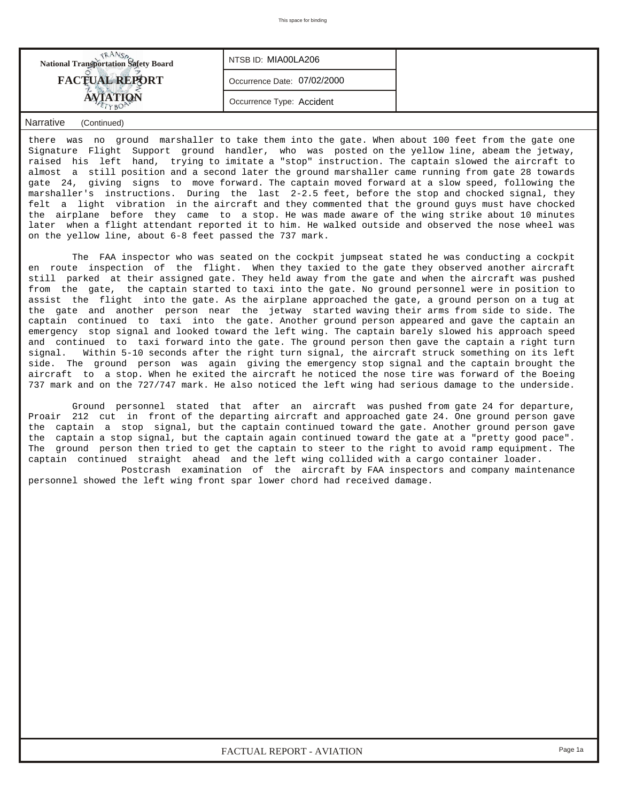| <b>National Transportation Safety Board</b> | NTSB ID: MIA00LA206         |  |
|---------------------------------------------|-----------------------------|--|
| <b>FACTUAL REPORT</b>                       | Occurrence Date: 07/02/2000 |  |
|                                             | Occurrence Type: Accident   |  |

## *Narrative (Continued)*

there was no ground marshaller to take them into the gate. When about 100 feet from the gate one Signature Flight Support ground handler, who was posted on the yellow line, abeam the jetway, raised his left hand, trying to imitate a "stop" instruction. The captain slowed the aircraft to almost a still position and a second later the ground marshaller came running from gate 28 towards gate 24, giving signs to move forward. The captain moved forward at a slow speed, following the marshaller's instructions. During the last 2-2.5 feet, before the stop and chocked signal, they felt a light vibration in the aircraft and they commented that the ground guys must have chocked the airplane before they came to a stop. He was made aware of the wing strike about 10 minutes later when a flight attendant reported it to him. He walked outside and observed the nose wheel was on the yellow line, about 6-8 feet passed the 737 mark.

 The FAA inspector who was seated on the cockpit jumpseat stated he was conducting a cockpit en route inspection of the flight. When they taxied to the gate they observed another aircraft still parked at their assigned gate. They held away from the gate and when the aircraft was pushed from the gate, the captain started to taxi into the gate. No ground personnel were in position to assist the flight into the gate. As the airplane approached the gate, a ground person on a tug at the gate and another person near the jetway started waving their arms from side to side. The captain continued to taxi into the gate. Another ground person appeared and gave the captain an emergency stop signal and looked toward the left wing. The captain barely slowed his approach speed and continued to taxi forward into the gate. The ground person then gave the captain a right turn signal. Within 5-10 seconds after the right turn signal, the aircraft struck something on its left side. The ground person was again giving the emergency stop signal and the captain brought the aircraft to a stop. When he exited the aircraft he noticed the nose tire was forward of the Boeing 737 mark and on the 727/747 mark. He also noticed the left wing had serious damage to the underside.

 Ground personnel stated that after an aircraft was pushed from gate 24 for departure, Proair 212 cut in front of the departing aircraft and approached gate 24. One ground person gave the captain a stop signal, but the captain continued toward the gate. Another ground person gave the captain a stop signal, but the captain again continued toward the gate at a "pretty good pace". The ground person then tried to get the captain to steer to the right to avoid ramp equipment. The captain continued straight ahead and the left wing collided with a cargo container loader.

 Postcrash examination of the aircraft by FAA inspectors and company maintenance personnel showed the left wing front spar lower chord had received damage.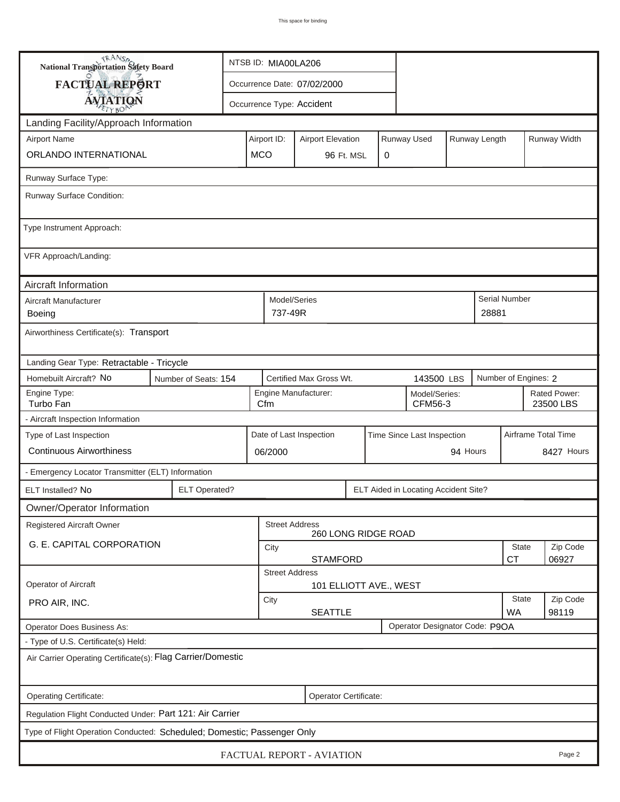| <b>National Transportation Safety Board</b>                             |                                                              | NTSB ID: MIA00LA206                                               |                                                              |                          |  |             |                                |                     |                           |                      |              |  |
|-------------------------------------------------------------------------|--------------------------------------------------------------|-------------------------------------------------------------------|--------------------------------------------------------------|--------------------------|--|-------------|--------------------------------|---------------------|---------------------------|----------------------|--------------|--|
| FACTUAL REPORT                                                          |                                                              | Occurrence Date: 07/02/2000                                       |                                                              |                          |  |             |                                |                     |                           |                      |              |  |
| <b>AVIATION</b>                                                         |                                                              | Occurrence Type: Accident                                         |                                                              |                          |  |             |                                |                     |                           |                      |              |  |
| Landing Facility/Approach Information                                   |                                                              |                                                                   |                                                              |                          |  |             |                                |                     |                           |                      |              |  |
| <b>Airport Name</b>                                                     |                                                              | Airport ID:                                                       |                                                              | <b>Airport Elevation</b> |  |             | Runway Used                    |                     | Runway Length             |                      | Runway Width |  |
| ORLANDO INTERNATIONAL                                                   |                                                              | <b>MCO</b>                                                        |                                                              | 96 Ft. MSL               |  | $\mathbf 0$ |                                |                     |                           |                      |              |  |
| Runway Surface Type:                                                    |                                                              |                                                                   |                                                              |                          |  |             |                                |                     |                           |                      |              |  |
| Runway Surface Condition:                                               |                                                              |                                                                   |                                                              |                          |  |             |                                |                     |                           |                      |              |  |
| Type Instrument Approach:                                               |                                                              |                                                                   |                                                              |                          |  |             |                                |                     |                           |                      |              |  |
| VFR Approach/Landing:                                                   |                                                              |                                                                   |                                                              |                          |  |             |                                |                     |                           |                      |              |  |
| Aircraft Information                                                    |                                                              |                                                                   |                                                              |                          |  |             |                                |                     |                           |                      |              |  |
| Aircraft Manufacturer<br><b>Boeing</b>                                  |                                                              |                                                                   | Model/Series<br>737-49R                                      |                          |  |             |                                |                     | 28881                     | Serial Number        |              |  |
| Airworthiness Certificate(s): Transport                                 |                                                              |                                                                   |                                                              |                          |  |             |                                |                     |                           |                      |              |  |
| Landing Gear Type: Retractable - Tricycle                               |                                                              |                                                                   |                                                              |                          |  |             |                                |                     |                           |                      |              |  |
| Homebuilt Aircraft? No                                                  | Number of Seats: 154                                         |                                                                   |                                                              | Certified Max Gross Wt.  |  |             | 143500 LBS                     |                     |                           | Number of Engines: 2 |              |  |
| Engine Type:<br>Turbo Fan                                               |                                                              |                                                                   | Engine Manufacturer:<br>Model/Series:<br>Cfm<br>CFM56-3      |                          |  |             |                                |                     | Rated Power:<br>23500 LBS |                      |              |  |
| - Aircraft Inspection Information                                       |                                                              |                                                                   |                                                              |                          |  |             |                                |                     |                           |                      |              |  |
| Type of Last Inspection                                                 |                                                              | Date of Last Inspection<br>Time Since Last Inspection<br>94 Hours |                                                              |                          |  |             |                                | Airframe Total Time |                           |                      |              |  |
| <b>Continuous Airworthiness</b>                                         |                                                              |                                                                   | 06/2000                                                      |                          |  |             |                                |                     | 8427 Hours                |                      |              |  |
| - Emergency Locator Transmitter (ELT) Information                       |                                                              |                                                                   |                                                              |                          |  |             |                                |                     |                           |                      |              |  |
| ELT Installed? No                                                       | <b>ELT Operated?</b><br>ELT Aided in Locating Accident Site? |                                                                   |                                                              |                          |  |             |                                |                     |                           |                      |              |  |
| Owner/Operator Information                                              |                                                              |                                                                   |                                                              |                          |  |             |                                |                     |                           |                      |              |  |
| <b>Registered Aircraft Owner</b>                                        |                                                              |                                                                   | <b>Street Address</b>                                        | 260 LONG RIDGE ROAD      |  |             |                                |                     |                           |                      |              |  |
| G. E. CAPITAL CORPORATION                                               |                                                              | <b>State</b><br>City<br><b>STAMFORD</b><br><b>CT</b>              |                                                              |                          |  |             |                                |                     |                           | Zip Code<br>06927    |              |  |
|                                                                         |                                                              | <b>Street Address</b>                                             |                                                              |                          |  |             |                                |                     |                           |                      |              |  |
| Operator of Aircraft                                                    |                                                              |                                                                   |                                                              | 101 ELLIOTT AVE., WEST   |  |             |                                |                     |                           |                      |              |  |
| PRO AIR, INC.                                                           |                                                              |                                                                   | <b>State</b><br>City<br><b>SEATTLE</b><br><b>WA</b><br>98119 |                          |  |             |                                |                     | Zip Code                  |                      |              |  |
| <b>Operator Does Business As:</b>                                       |                                                              |                                                                   |                                                              |                          |  |             | Operator Designator Code: P9OA |                     |                           |                      |              |  |
| - Type of U.S. Certificate(s) Held:                                     |                                                              |                                                                   |                                                              |                          |  |             |                                |                     |                           |                      |              |  |
| Air Carrier Operating Certificate(s): Flag Carrier/Domestic             |                                                              |                                                                   |                                                              |                          |  |             |                                |                     |                           |                      |              |  |
| Operating Certificate:                                                  |                                                              |                                                                   |                                                              | Operator Certificate:    |  |             |                                |                     |                           |                      |              |  |
| Regulation Flight Conducted Under: Part 121: Air Carrier                |                                                              |                                                                   |                                                              |                          |  |             |                                |                     |                           |                      |              |  |
| Type of Flight Operation Conducted: Scheduled; Domestic; Passenger Only |                                                              |                                                                   |                                                              |                          |  |             |                                |                     |                           |                      |              |  |
| FACTUAL REPORT - AVIATION<br>Page 2                                     |                                                              |                                                                   |                                                              |                          |  |             |                                |                     |                           |                      |              |  |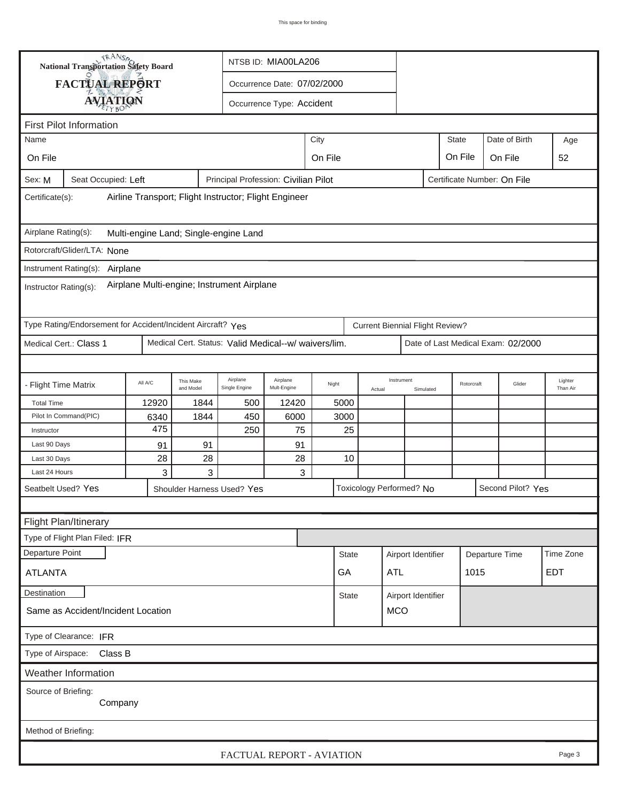|                                                                          | <b>National Transportation Safety Board</b>                             |         |                        |                                                        | NTSB ID: MIA00LA206                 |       |              |        |                                        |                   |            |                                    |                     |
|--------------------------------------------------------------------------|-------------------------------------------------------------------------|---------|------------------------|--------------------------------------------------------|-------------------------------------|-------|--------------|--------|----------------------------------------|-------------------|------------|------------------------------------|---------------------|
|                                                                          | FACTUAL REPORT                                                          |         |                        | Occurrence Date: 07/02/2000                            |                                     |       |              |        |                                        |                   |            |                                    |                     |
|                                                                          |                                                                         |         |                        | Occurrence Type: Accident                              |                                     |       |              |        |                                        |                   |            |                                    |                     |
| <b>AVIATION</b>                                                          |                                                                         |         |                        |                                                        |                                     |       |              |        |                                        |                   |            |                                    |                     |
| Name                                                                     | <b>First Pilot Information</b><br><b>State</b><br>Date of Birth<br>City |         |                        |                                                        |                                     |       |              |        |                                        | Age               |            |                                    |                     |
| On File                                                                  |                                                                         |         |                        |                                                        |                                     |       |              |        |                                        |                   |            |                                    |                     |
|                                                                          |                                                                         |         |                        |                                                        | On File<br>On File<br>On File<br>52 |       |              |        |                                        |                   |            |                                    |                     |
| Sex: M                                                                   | Seat Occupied: Left                                                     |         |                        | Principal Profession: Civilian Pilot                   |                                     |       |              |        |                                        |                   |            | Certificate Number: On File        |                     |
| Airline Transport; Flight Instructor; Flight Engineer<br>Certificate(s): |                                                                         |         |                        |                                                        |                                     |       |              |        |                                        |                   |            |                                    |                     |
| Airplane Rating(s):<br>Multi-engine Land; Single-engine Land             |                                                                         |         |                        |                                                        |                                     |       |              |        |                                        |                   |            |                                    |                     |
|                                                                          | Rotorcraft/Glider/LTA: None                                             |         |                        |                                                        |                                     |       |              |        |                                        |                   |            |                                    |                     |
|                                                                          | Instrument Rating(s): Airplane                                          |         |                        |                                                        |                                     |       |              |        |                                        |                   |            |                                    |                     |
| Instructor Rating(s):                                                    |                                                                         |         |                        | Airplane Multi-engine; Instrument Airplane             |                                     |       |              |        |                                        |                   |            |                                    |                     |
|                                                                          | Type Rating/Endorsement for Accident/Incident Aircraft? Yes             |         |                        |                                                        |                                     |       |              |        | <b>Current Biennial Flight Review?</b> |                   |            |                                    |                     |
|                                                                          | Medical Cert.: Class 1                                                  |         |                        | Medical Cert. Status: Valid Medical--w/ waivers/lim.   |                                     |       |              |        |                                        |                   |            | Date of Last Medical Exam: 02/2000 |                     |
|                                                                          |                                                                         |         |                        |                                                        |                                     |       |              |        |                                        |                   |            |                                    |                     |
| - Flight Time Matrix                                                     |                                                                         | All A/C | This Make<br>and Model | Airplane<br>Single Engine                              | Airplane<br>Mult-Engine             | Night |              | Actual | Instrument<br>Simulated                |                   | Rotorcraft | Glider                             | Lighter<br>Than Air |
| <b>Total Time</b>                                                        |                                                                         | 12920   | 1844                   | 500                                                    | 12420                               | 5000  |              |        |                                        |                   |            |                                    |                     |
|                                                                          | Pilot In Command(PIC)                                                   | 6340    | 1844                   | 450                                                    | 6000                                |       | 3000         |        |                                        |                   |            |                                    |                     |
| Instructor                                                               |                                                                         | 475     |                        | 250                                                    | 75                                  |       | 25           |        |                                        |                   |            |                                    |                     |
| Last 90 Days                                                             |                                                                         | 91      | 91                     |                                                        | 91                                  |       |              |        |                                        |                   |            |                                    |                     |
| Last 30 Days<br>Last 24 Hours                                            |                                                                         | 28<br>3 | 28<br>3                |                                                        | 28<br>3                             |       | 10           |        |                                        |                   |            |                                    |                     |
|                                                                          |                                                                         |         |                        |                                                        |                                     |       |              |        |                                        | Second Pilot? Yes |            |                                    |                     |
| Seatbelt Used? Yes                                                       |                                                                         |         |                        | Toxicology Performed? No<br>Shoulder Harness Used? Yes |                                     |       |              |        |                                        |                   |            |                                    |                     |
|                                                                          |                                                                         |         |                        |                                                        |                                     |       |              |        |                                        |                   |            |                                    |                     |
|                                                                          | Flight Plan/Itinerary                                                   |         |                        |                                                        |                                     |       |              |        |                                        |                   |            |                                    |                     |
|                                                                          | Type of Flight Plan Filed: IFR                                          |         |                        |                                                        |                                     |       |              |        |                                        |                   |            |                                    |                     |
| <b>Departure Point</b>                                                   |                                                                         |         |                        | <b>State</b>                                           |                                     |       |              |        | Airport Identifier                     |                   |            | Departure Time                     | Time Zone           |
| <b>ATLANTA</b>                                                           |                                                                         | GA      |                        |                                                        |                                     |       |              | ATL    |                                        |                   | 1015       |                                    | EDT                 |
| Destination                                                              |                                                                         |         |                        |                                                        |                                     |       | <b>State</b> |        | Airport Identifier                     |                   |            |                                    |                     |
| <b>MCO</b><br>Same as Accident/Incident Location                         |                                                                         |         |                        |                                                        |                                     |       |              |        |                                        |                   |            |                                    |                     |
| Type of Clearance: IFR                                                   |                                                                         |         |                        |                                                        |                                     |       |              |        |                                        |                   |            |                                    |                     |
| Type of Airspace: Class B                                                |                                                                         |         |                        |                                                        |                                     |       |              |        |                                        |                   |            |                                    |                     |
|                                                                          | <b>Weather Information</b>                                              |         |                        |                                                        |                                     |       |              |        |                                        |                   |            |                                    |                     |
| Source of Briefing:<br>Company                                           |                                                                         |         |                        |                                                        |                                     |       |              |        |                                        |                   |            |                                    |                     |
| Method of Briefing:                                                      |                                                                         |         |                        |                                                        |                                     |       |              |        |                                        |                   |            |                                    |                     |
|                                                                          |                                                                         |         |                        | FACTUAL REPORT - AVIATION                              |                                     |       |              |        |                                        |                   |            |                                    | Page 3              |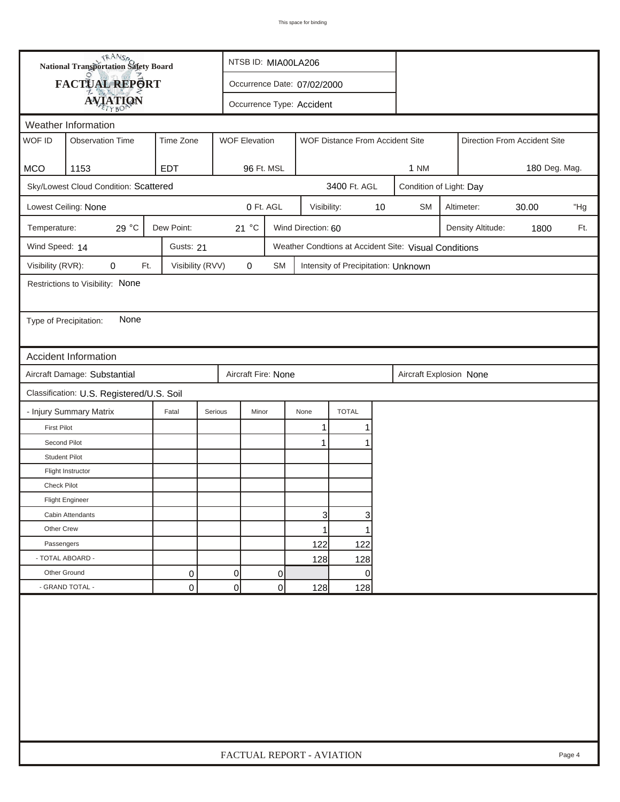| <b>National Transportation Safety Board</b><br>FACTUAL REPORT<br>Occurrence Date: 07/02/2000<br><b>AVIATION</b><br>Occurrence Type: Accident<br>Weather Information<br>WOF ID<br>Time Zone<br><b>Observation Time</b><br><b>WOF Elevation</b><br>WOF Distance From Accident Site<br>Direction From Accident Site<br><b>MCO</b><br>1153<br><b>EDT</b><br>96 Ft. MSL<br>180 Deg. Mag.<br>1 NM<br>Sky/Lowest Cloud Condition: Scattered<br>3400 Ft. AGL<br>Condition of Light: Day<br>0 Ft. AGL<br>10<br>Lowest Ceiling: None<br>Visibility:<br><b>SM</b><br>30.00<br>Altimeter:<br>29 °C<br>Dew Point:<br>21 °C<br>Temperature:<br>Wind Direction: 60<br>Density Altitude:<br>1800<br>Wind Speed: 14<br>Weather Condtions at Accident Site: Visual Conditions<br>Gusts: 21<br>Visibility (RVR):<br>0<br>Ft.<br>Visibility (RVV)<br>0<br><b>SM</b><br>Intensity of Precipitation: Unknown<br>Restrictions to Visibility: None<br>None<br>Type of Precipitation:<br><b>Accident Information</b><br>Aircraft Damage: Substantial<br>Aircraft Fire: None<br>Aircraft Explosion None<br>Classification: U.S. Registered/U.S. Soil<br>- Injury Summary Matrix<br><b>TOTAL</b><br>Fatal<br>Serious<br>Minor<br>None<br><b>First Pilot</b><br>1 | "Hg<br>Ft. |
|---------------------------------------------------------------------------------------------------------------------------------------------------------------------------------------------------------------------------------------------------------------------------------------------------------------------------------------------------------------------------------------------------------------------------------------------------------------------------------------------------------------------------------------------------------------------------------------------------------------------------------------------------------------------------------------------------------------------------------------------------------------------------------------------------------------------------------------------------------------------------------------------------------------------------------------------------------------------------------------------------------------------------------------------------------------------------------------------------------------------------------------------------------------------------------------------------------------------------------------|------------|
|                                                                                                                                                                                                                                                                                                                                                                                                                                                                                                                                                                                                                                                                                                                                                                                                                                                                                                                                                                                                                                                                                                                                                                                                                                       |            |
|                                                                                                                                                                                                                                                                                                                                                                                                                                                                                                                                                                                                                                                                                                                                                                                                                                                                                                                                                                                                                                                                                                                                                                                                                                       |            |
|                                                                                                                                                                                                                                                                                                                                                                                                                                                                                                                                                                                                                                                                                                                                                                                                                                                                                                                                                                                                                                                                                                                                                                                                                                       |            |
|                                                                                                                                                                                                                                                                                                                                                                                                                                                                                                                                                                                                                                                                                                                                                                                                                                                                                                                                                                                                                                                                                                                                                                                                                                       |            |
|                                                                                                                                                                                                                                                                                                                                                                                                                                                                                                                                                                                                                                                                                                                                                                                                                                                                                                                                                                                                                                                                                                                                                                                                                                       |            |
|                                                                                                                                                                                                                                                                                                                                                                                                                                                                                                                                                                                                                                                                                                                                                                                                                                                                                                                                                                                                                                                                                                                                                                                                                                       |            |
|                                                                                                                                                                                                                                                                                                                                                                                                                                                                                                                                                                                                                                                                                                                                                                                                                                                                                                                                                                                                                                                                                                                                                                                                                                       |            |
|                                                                                                                                                                                                                                                                                                                                                                                                                                                                                                                                                                                                                                                                                                                                                                                                                                                                                                                                                                                                                                                                                                                                                                                                                                       |            |
|                                                                                                                                                                                                                                                                                                                                                                                                                                                                                                                                                                                                                                                                                                                                                                                                                                                                                                                                                                                                                                                                                                                                                                                                                                       |            |
|                                                                                                                                                                                                                                                                                                                                                                                                                                                                                                                                                                                                                                                                                                                                                                                                                                                                                                                                                                                                                                                                                                                                                                                                                                       |            |
|                                                                                                                                                                                                                                                                                                                                                                                                                                                                                                                                                                                                                                                                                                                                                                                                                                                                                                                                                                                                                                                                                                                                                                                                                                       |            |
|                                                                                                                                                                                                                                                                                                                                                                                                                                                                                                                                                                                                                                                                                                                                                                                                                                                                                                                                                                                                                                                                                                                                                                                                                                       |            |
|                                                                                                                                                                                                                                                                                                                                                                                                                                                                                                                                                                                                                                                                                                                                                                                                                                                                                                                                                                                                                                                                                                                                                                                                                                       |            |
|                                                                                                                                                                                                                                                                                                                                                                                                                                                                                                                                                                                                                                                                                                                                                                                                                                                                                                                                                                                                                                                                                                                                                                                                                                       |            |
|                                                                                                                                                                                                                                                                                                                                                                                                                                                                                                                                                                                                                                                                                                                                                                                                                                                                                                                                                                                                                                                                                                                                                                                                                                       |            |
|                                                                                                                                                                                                                                                                                                                                                                                                                                                                                                                                                                                                                                                                                                                                                                                                                                                                                                                                                                                                                                                                                                                                                                                                                                       |            |
|                                                                                                                                                                                                                                                                                                                                                                                                                                                                                                                                                                                                                                                                                                                                                                                                                                                                                                                                                                                                                                                                                                                                                                                                                                       |            |
|                                                                                                                                                                                                                                                                                                                                                                                                                                                                                                                                                                                                                                                                                                                                                                                                                                                                                                                                                                                                                                                                                                                                                                                                                                       |            |
|                                                                                                                                                                                                                                                                                                                                                                                                                                                                                                                                                                                                                                                                                                                                                                                                                                                                                                                                                                                                                                                                                                                                                                                                                                       |            |
|                                                                                                                                                                                                                                                                                                                                                                                                                                                                                                                                                                                                                                                                                                                                                                                                                                                                                                                                                                                                                                                                                                                                                                                                                                       |            |
| Second Pilot<br>1                                                                                                                                                                                                                                                                                                                                                                                                                                                                                                                                                                                                                                                                                                                                                                                                                                                                                                                                                                                                                                                                                                                                                                                                                     |            |
| <b>Student Pilot</b>                                                                                                                                                                                                                                                                                                                                                                                                                                                                                                                                                                                                                                                                                                                                                                                                                                                                                                                                                                                                                                                                                                                                                                                                                  |            |
| Flight Instructor                                                                                                                                                                                                                                                                                                                                                                                                                                                                                                                                                                                                                                                                                                                                                                                                                                                                                                                                                                                                                                                                                                                                                                                                                     |            |
| <b>Check Pilot</b>                                                                                                                                                                                                                                                                                                                                                                                                                                                                                                                                                                                                                                                                                                                                                                                                                                                                                                                                                                                                                                                                                                                                                                                                                    |            |
| <b>Flight Engineer</b>                                                                                                                                                                                                                                                                                                                                                                                                                                                                                                                                                                                                                                                                                                                                                                                                                                                                                                                                                                                                                                                                                                                                                                                                                |            |
| 3<br>3<br>Cabin Attendants                                                                                                                                                                                                                                                                                                                                                                                                                                                                                                                                                                                                                                                                                                                                                                                                                                                                                                                                                                                                                                                                                                                                                                                                            |            |
| Other Crew<br>1                                                                                                                                                                                                                                                                                                                                                                                                                                                                                                                                                                                                                                                                                                                                                                                                                                                                                                                                                                                                                                                                                                                                                                                                                       |            |
| 122<br>122<br>Passengers                                                                                                                                                                                                                                                                                                                                                                                                                                                                                                                                                                                                                                                                                                                                                                                                                                                                                                                                                                                                                                                                                                                                                                                                              |            |
| - TOTAL ABOARD -<br>128<br>128                                                                                                                                                                                                                                                                                                                                                                                                                                                                                                                                                                                                                                                                                                                                                                                                                                                                                                                                                                                                                                                                                                                                                                                                        |            |
| Other Ground<br>0<br>0<br>0<br>0                                                                                                                                                                                                                                                                                                                                                                                                                                                                                                                                                                                                                                                                                                                                                                                                                                                                                                                                                                                                                                                                                                                                                                                                      |            |
| $\overline{0}$<br>- GRAND TOTAL -<br>$\mathbf 0$<br>0<br>128<br>128                                                                                                                                                                                                                                                                                                                                                                                                                                                                                                                                                                                                                                                                                                                                                                                                                                                                                                                                                                                                                                                                                                                                                                   |            |